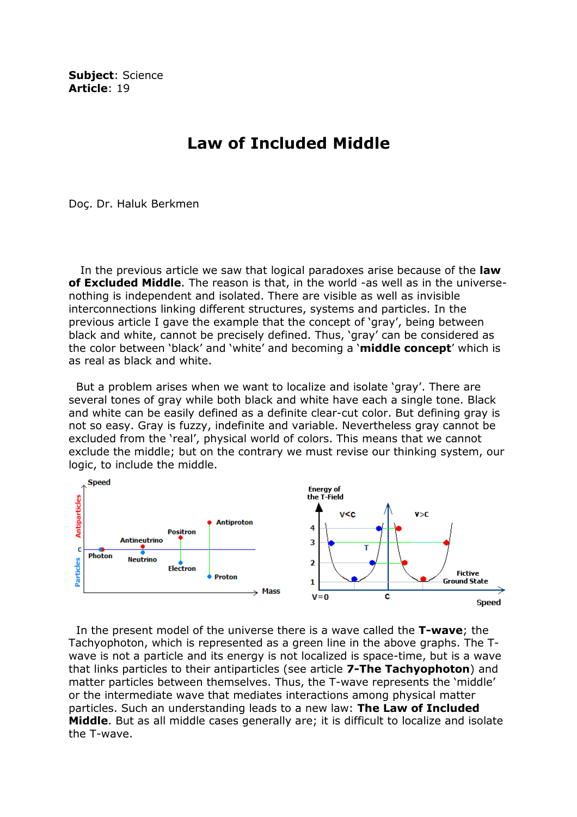Subject: Science Article: 19

## Law of Included Middle

Doç. Dr. Haluk Berkmen

In the previous article we saw that logical paradoxes arise because of the law of Excluded Middle. The reason is that, in the world -as well as in the universenothing is independent and isolated. There are visible as well as invisible interconnections linking different structures, systems and particles. In the previous article I gave the example that the concept of 'gray', being between black and white, cannot be precisely defined. Thus, 'gray' can be considered as the color between 'black' and 'white' and becoming a 'middle concept' which is as real as black and white.

 But a problem arises when we want to localize and isolate 'gray'. There are several tones of gray while both black and white have each a single tone. Black and white can be easily defined as a definite clear-cut color. But defining gray is not so easy. Gray is fuzzy, indefinite and variable. Nevertheless gray cannot be excluded from the 'real', physical world of colors. This means that we cannot exclude the middle; but on the contrary we must revise our thinking system, our logic, to include the middle.



In the present model of the universe there is a wave called the T-wave; the Tachyophoton, which is represented as a green line in the above graphs. The Twave is not a particle and its energy is not localized is space-time, but is a wave that links particles to their antiparticles (see article 7-The Tachyophoton) and matter particles between themselves. Thus, the T-wave represents the 'middle' or the intermediate wave that mediates interactions among physical matter particles. Such an understanding leads to a new law: The Law of Included Middle. But as all middle cases generally are; it is difficult to localize and isolate the T-wave.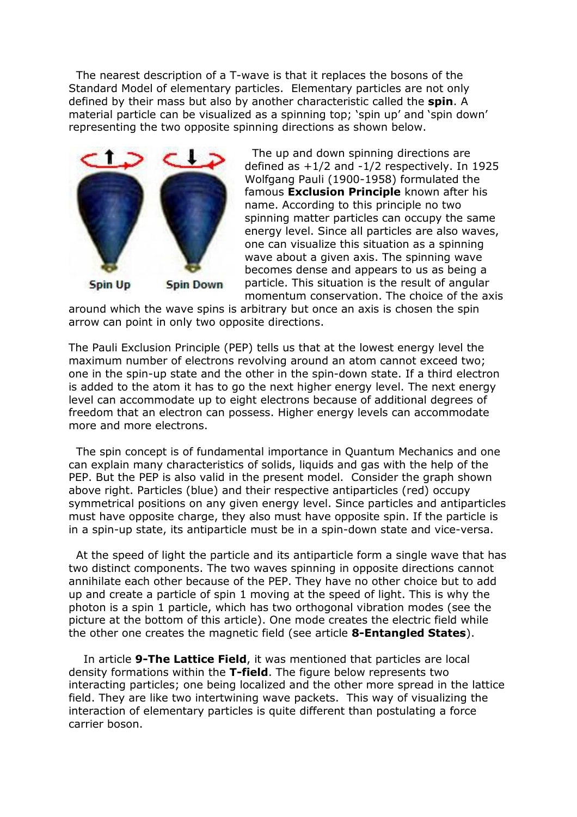The nearest description of a T-wave is that it replaces the bosons of the Standard Model of elementary particles. Elementary particles are not only defined by their mass but also by another characteristic called the spin. A material particle can be visualized as a spinning top; 'spin up' and 'spin down' representing the two opposite spinning directions as shown below.



 The up and down spinning directions are defined as +1/2 and -1/2 respectively. In 1925 Wolfgang Pauli (1900-1958) formulated the famous Exclusion Principle known after his name. According to this principle no two spinning matter particles can occupy the same energy level. Since all particles are also waves, one can visualize this situation as a spinning wave about a given axis. The spinning wave becomes dense and appears to us as being a particle. This situation is the result of angular momentum conservation. The choice of the axis

around which the wave spins is arbitrary but once an axis is chosen the spin arrow can point in only two opposite directions.

The Pauli Exclusion Principle (PEP) tells us that at the lowest energy level the maximum number of electrons revolving around an atom cannot exceed two; one in the spin-up state and the other in the spin-down state. If a third electron is added to the atom it has to go the next higher energy level. The next energy level can accommodate up to eight electrons because of additional degrees of freedom that an electron can possess. Higher energy levels can accommodate more and more electrons.

 The spin concept is of fundamental importance in Quantum Mechanics and one can explain many characteristics of solids, liquids and gas with the help of the PEP. But the PEP is also valid in the present model. Consider the graph shown above right. Particles (blue) and their respective antiparticles (red) occupy symmetrical positions on any given energy level. Since particles and antiparticles must have opposite charge, they also must have opposite spin. If the particle is in a spin-up state, its antiparticle must be in a spin-down state and vice-versa.

 At the speed of light the particle and its antiparticle form a single wave that has two distinct components. The two waves spinning in opposite directions cannot annihilate each other because of the PEP. They have no other choice but to add up and create a particle of spin 1 moving at the speed of light. This is why the photon is a spin 1 particle, which has two orthogonal vibration modes (see the picture at the bottom of this article). One mode creates the electric field while the other one creates the magnetic field (see article 8-Entangled States).

In article 9-The Lattice Field, it was mentioned that particles are local density formations within the T-field. The figure below represents two interacting particles; one being localized and the other more spread in the lattice field. They are like two intertwining wave packets. This way of visualizing the interaction of elementary particles is quite different than postulating a force carrier boson.